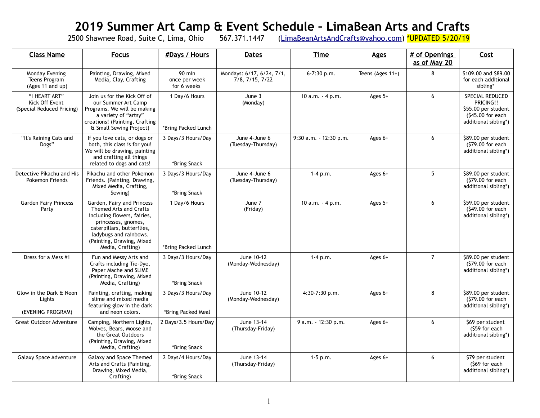## **2019 Summer Art Camp & Event Schedule – LimaBean Arts and Crafts**

2500 Shawnee Road, Suite C, Lima, Ohio 567.371.1447 (<u>LimaBeanArtsAndCrafts@yahoo.com</u>) <mark>\*UPDATED 5/20/19</mark>

| <b>Class Name</b>                                            | <b>Focus</b>                                                                                                                                                                                                        | #Days / Hours                            | <b>Dates</b>                                 | <b>Time</b>            | <b>Ages</b>         | # of Openings<br>as of May 20 | Cost                                                                                             |
|--------------------------------------------------------------|---------------------------------------------------------------------------------------------------------------------------------------------------------------------------------------------------------------------|------------------------------------------|----------------------------------------------|------------------------|---------------------|-------------------------------|--------------------------------------------------------------------------------------------------|
| Monday Evening<br>Teens Program<br>(Ages 11 and up)          | Painting, Drawing, Mixed<br>Media, Clay, Crafting                                                                                                                                                                   | $90$ min<br>once per week<br>for 6 weeks | Mondays: 6/17, 6/24, 7/1,<br>7/8, 7/15, 7/22 | 6-7:30 p.m.            | Teens (Ages $11+$ ) | 8                             | \$109.00 and \$89.00<br>for each additional<br>sibling*                                          |
| "I HEART ART"<br>Kick Off Event<br>(Special Reduced Pricing) | Join us for the Kick Off of<br>our Summer Art Camp<br>Programs. We will be making<br>a variety of "artsy"<br>creations! (Painting, Crafting<br>& Small Sewing Project)                                              | 1 Day/6 Hours<br>*Bring Packed Lunch     | June 3<br>(Monday)                           | 10 $a.m. - 4 p.m.$     | Ages 5+             | 6                             | SPECIAL REDUCED<br>PRICING!!<br>\$55.00 per student<br>(\$45.00 for each<br>additional sibling*) |
| "It's Raining Cats and<br>Dogs"                              | If you love cats, or dogs or<br>both, this class is for you!<br>We will be drawing, painting<br>and crafting all things<br>related to dogs and cats!                                                                | 3 Days/3 Hours/Day<br>*Bring Snack       | June 4-June 6<br>(Tuesday-Thursday)          | 9:30 a.m. - 12:30 p.m. | Ages $6+$           | 6                             | \$89.00 per student<br>(\$79.00 for each<br>additional sibling*)                                 |
| Detective Pikachu and His<br>Pokemon Friends                 | Pikachu and other Pokemon<br>Friends. (Painting, Drawing,<br>Mixed Media, Crafting,<br>Sewing)                                                                                                                      | 3 Days/3 Hours/Day<br>*Bring Snack       | June 4-June 6<br>(Tuesday-Thursday)          | $1-4 p.m.$             | Ages $6+$           | 5                             | \$89.00 per student<br>(\$79.00 for each<br>additional sibling*)                                 |
| <b>Garden Fairy Princess</b><br>Party                        | Garden, Fairy and Princess<br>Themed Arts and Crafts<br>including flowers, fairies,<br>princesses, gnomes,<br>caterpillars, butterflies,<br>ladybugs and rainbows.<br>(Painting, Drawing, Mixed<br>Media, Crafting) | 1 Day/6 Hours<br>*Bring Packed Lunch     | June 7<br>(Friday)                           | 10 $a.m. - 4 p.m.$     | Ages 5+             | 6                             | \$59.00 per student<br>(\$49.00 for each<br>additional sibling*)                                 |
| Dress for a Mess #1                                          | Fun and Messy Arts and<br>Crafts including Tie-Dye,<br>Paper Mache and SLIME<br>(Painting, Drawing, Mixed<br>Media, Crafting)                                                                                       | 3 Days/3 Hours/Day<br>*Bring Snack       | June 10-12<br>(Monday-Wednesday)             | $1-4 p.m.$             | Ages 6+             | $\overline{7}$                | \$89.00 per student<br>(\$79.00 for each<br>additional sibling*)                                 |
| Glow in the Dark & Neon<br>Lights<br>(EVENING PROGRAM)       | Painting, crafting, making<br>slime and mixed media<br>featuring glow in the dark<br>and neon colors.                                                                                                               | 3 Days/3 Hours/Day<br>*Bring Packed Meal | June 10-12<br>(Monday-Wednesday)             | $4:30-7:30$ p.m.       | Ages $6+$           | 8                             | \$89.00 per student<br>(\$79.00 for each<br>additional sibling*)                                 |
| <b>Great Outdoor Adventure</b>                               | Camping, Northern Lights,<br>Wolves, Bears, Moose and<br>the Great Outdoors<br>(Painting, Drawing, Mixed<br>Media, Crafting)                                                                                        | 2 Days/3.5 Hours/Day<br>*Bring Snack     | June 13-14<br>(Thursday-Friday)              | 9 a.m. - 12:30 p.m.    | Ages $6+$           | 6                             | \$69 per student<br>(\$59 for each<br>additional sibling*)                                       |
| Galaxy Space Adventure                                       | Galaxy and Space Themed<br>Arts and Crafts (Painting,<br>Drawing, Mixed Media,<br>Crafting)                                                                                                                         | 2 Days/4 Hours/Day<br>*Bring Snack       | June 13-14<br>(Thursday-Friday)              | $1-5$ p.m.             | Ages $6+$           | 6                             | \$79 per student<br>(\$69 for each<br>additional sibling*)                                       |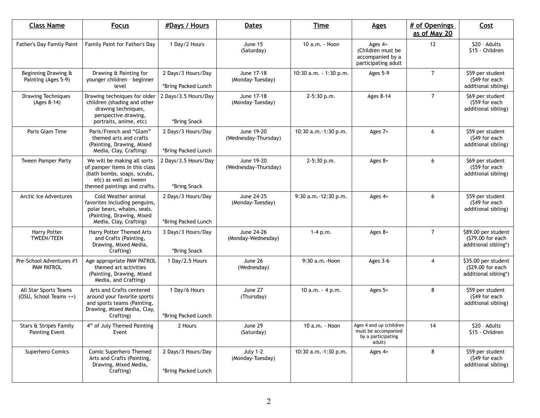| <b>Class Name</b>                               | <b>Focus</b>                                                                                                                                         | #Days / Hours                             | <b>Dates</b>                        | <b>Time</b>            | <b>Ages</b>                                                                    | # of Openings<br>as of May 20 | Cost                                                             |
|-------------------------------------------------|------------------------------------------------------------------------------------------------------------------------------------------------------|-------------------------------------------|-------------------------------------|------------------------|--------------------------------------------------------------------------------|-------------------------------|------------------------------------------------------------------|
| <b>Father's Day Family Paint</b>                | Family Paint for Father's Day                                                                                                                        | 1 Day/2 Hours                             | June 15<br>(Saturday)               | 10 a.m. - Noon         | Ages $4+$<br>(Children must be<br>accompanied by a<br>participating adult      | 12                            | \$20 - Adults<br>\$15 - Children                                 |
| Beginning Drawing &<br>Painting (Ages 5-9)      | Drawing & Painting for<br>younger children - beginner<br>level                                                                                       | 2 Days/3 Hours/Day<br>*Bring Packed Lunch | June 17-18<br>(Monday-Tuesday)      | 10:30 a.m. - 1:30 p.m. | Ages 5-9                                                                       | 7                             | \$59 per student<br>(\$49 for each<br>additional sibling)        |
| <b>Drawing Techniques</b><br>$(Ages 8-14)$      | Drawing techniques for older<br>children (shading and other<br>drawing techniques,<br>perspective drawing,<br>portraits, anime, etc)                 | 2 Days/3.5 Hours/Day<br>*Bring Snack      | June 17-18<br>(Monday-Tuesday)      | 2-5:30 p.m.            | Ages 8-14                                                                      | $\overline{7}$                | \$69 per student<br>(\$59 for each<br>additional sibling)        |
| Paris Glam Time                                 | Paris/French and "Glam"<br>themed arts and crafts<br>(Painting, Drawing, Mixed<br>Media, Clay, Crafting)                                             | 2 Days/3 Hours/Day<br>*Bring Packed Lunch | June 19-20<br>(Wednesday-Thursday)  | 10:30 a.m. -1:30 p.m.  | Ages 7+                                                                        | 6                             | \$59 per student<br>(\$49 for each<br>additional sibling)        |
| <b>Tween Pamper Party</b>                       | We will be making all sorts<br>of pamper items in this class<br>(bath bombs, soaps, scrubs,<br>etc) as well as tween<br>themed paintings and crafts. | 2 Days/3.5 Hours/Day<br>*Bring Snack      | June 19-20<br>(Wednesday-Thursday)  | 2-5:30 p.m.            | Ages 8+                                                                        | 6                             | \$69 per student<br>(\$59 for each<br>additional sibling)        |
| Arctic Ice Adventures                           | Cold Weather animal<br>favorites including penguins,<br>polar bears, whales, seals.<br>(Painting, Drawing, Mixed<br>Media, Clay, Crafting)           | 2 Days/3 Hours/Day<br>*Bring Packed Lunch | June 24-25<br>(Monday-Tuesday)      | 9:30 a.m. - 12:30 p.m. | Ages $4+$                                                                      | 6                             | \$59 per student<br>(\$49 for each<br>additional sibling)        |
| <b>Harry Potter</b><br><b>TWEEN/TEEN</b>        | Harry Potter Themed Arts<br>and Crafts (Painting,<br>Drawing, Mixed Media,<br>Crafting)                                                              | 3 Days/3 Hours/Day<br>*Bring Snack        | June 24-26<br>(Monday-Wednesday)    | $1-4 p.m.$             | Ages 8+                                                                        | $\overline{7}$                | \$89.00 per student<br>(\$79.00 for each<br>additional sibling*) |
| Pre-School Adventures #1<br><b>PAW PATROL</b>   | Age appropriate PAW PATROL<br>themed art activities<br>(Painting, Drawing, Mixed<br>Media, and Crafting)                                             | 1 Day/2.5 Hours                           | June 26<br>(Wednesday)              | 9:30 a.m.-Noon         | Ages 3-6                                                                       | 4                             | \$35.00 per student<br>(\$29.00 for each<br>additional sibling*) |
| All Star Sports Teams<br>(OSU, School Teams ++) | Arts and Crafts centered<br>around your favorite sports<br>and sports teams (Painting,<br>Drawing, Mixed Media, Clay,<br>Crafting)                   | 1 Day/6 Hours<br>*Bring Packed Lunch      | June 27<br>(Thursday)               | 10 a.m. $-4$ p.m.      | Ages $5+$                                                                      | 8                             | \$59 per student<br>(\$49 for each<br>additional sibling)        |
| Stars & Stripes Family<br>Painting Event        | 4 <sup>th</sup> of July Themed Painting<br>Event                                                                                                     | 2 Hours                                   | June 29<br>(Saturday)               | 10 a.m. - Noon         | Ages 4 and up (children<br>must be accompanied<br>by a participating<br>adult) | 14                            | \$20 - Adults<br>\$15 - Children                                 |
| Superhero Comics                                | Comic Superhero Themed<br>Arts and Crafts (Painting,<br>Drawing, Mixed Media,<br>Crafting)                                                           | 2 Days/3 Hours/Day<br>*Bring Packed Lunch | <b>July 1-2</b><br>(Monday-Tuesday) | 10:30 a.m. -1:30 p.m.  | Ages $4+$                                                                      | 8                             | \$59 per student<br>(\$49 for each<br>additional sibling)        |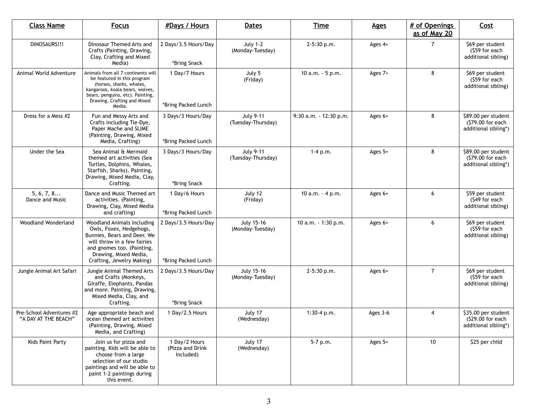| <b>Class Name</b>                                | <b>Focus</b>                                                                                                                                                                                                  | <b>#Days / Hours</b>                           | <b>Dates</b>                           | <b>Time</b>            | <b>Ages</b> | # of Openings<br>as of May 20 | Cost                                                               |
|--------------------------------------------------|---------------------------------------------------------------------------------------------------------------------------------------------------------------------------------------------------------------|------------------------------------------------|----------------------------------------|------------------------|-------------|-------------------------------|--------------------------------------------------------------------|
| DINOSAURS!!!                                     | Dinosaur Themed Arts and<br>Crafts (Painting, Drawing,<br>Clay, Crafting and Mixed<br>Media)                                                                                                                  | 2 Days/3.5 Hours/Day<br>*Bring Snack           | <b>July 1-2</b><br>(Monday-Tuesday)    | 2-5:30 p.m.            | Ages 4+     | 7                             | \$69 per student<br>$(559$ for each<br>additional sibling)         |
| Animal World Adventure                           | Animals from all 7 continents will<br>be featured in this program<br>(horses, sharks, whales,<br>kangaroos, koala bears, wolves,<br>bears, penguins, etc). Painting,<br>Drawing, Crafting and Mixed<br>Media. | 1 Day/7 Hours<br>*Bring Packed Lunch           | July 5<br>(Friday)                     | 10 a.m. - 5 p.m.       | Ages 7+     | 8                             | \$69 per student<br>(\$59 for each<br>additional sibling)          |
| Dress for a Mess #2                              | Fun and Messy Arts and<br>Crafts including Tie-Dye,<br>Paper Mache and SLIME<br>(Painting, Drawing, Mixed<br>Media, Crafting)                                                                                 | 3 Days/3 Hours/Day<br>*Bring Packed Lunch      | <b>July 9-11</b><br>(Tuesday-Thursday) | 9:30 a.m. - 12:30 p.m. | Ages $6+$   | 8                             | \$89.00 per student<br>(\$79.00 for each<br>additional sibling*)   |
| Under the Sea                                    | Sea Animal & Mermaid<br>themed art activities (Sea<br>Turtles, Dolphins, Whales,<br>Starfish, Sharks). Painting,<br>Drawing, Mixed Media, Clay,<br>Crafting.                                                  | 3 Days/3 Hours/Day<br>*Bring Snack             | <b>July 9-11</b><br>(Tuesday-Thursday) | $1 - 4 p.m.$           | Ages $5+$   | 8                             | \$89.00 per student<br>(\$79.00 for each<br>additional sibling*)   |
| 5, 6, 7, 8<br>Dance and Music                    | Dance and Music Themed art<br>activities. (Painting,<br>Drawing, Clay, Mixed Media<br>and crafting)                                                                                                           | 1 Day/6 Hours<br>*Bring Packed Lunch           | July 12<br>(Friday)                    | 10 $a.m. - 4 p.m.$     | Ages $6+$   | 6                             | \$59 per student<br>(\$49 for each<br>additional sibling)          |
| Woodland Wonderland                              | Woodland Animals including<br>Owls, Foxes, Hedgehogs,<br>Bunnies, Bears and Deer. We<br>will throw in a few fairies<br>and gnomes too. (Painting,<br>Drawing, Mixed Media,<br>Crafting, Jewelry Making)       | 2 Days/3.5 Hours/Day<br>*Bring Packed Lunch    | July 15-16<br>(Monday-Tuesday)         | 10 a.m. - 1:30 p.m.    | Ages $6+$   | 6                             | \$69 per student<br>(\$59 for each<br>additional sibling)          |
| Jungle Animal Art Safari                         | Jungle Animal Themed Arts<br>and Crafts (Monkeys,<br>Giraffe, Elephants, Pandas<br>and more. Painting, Drawing,<br>Mixed Media, Clay, and<br>Crafting.                                                        | 2 Days/3.5 Hours/Day<br>*Bring Snack           | July 15-16<br>(Monday-Tuesday)         | $2 - 5:30$ p.m.        | Ages $6+$   | $\overline{7}$                | \$69 per student<br>(\$59 for each<br>additional sibling)          |
| Pre-School Adventures #2<br>"A DAY AT THE BEACH" | Age appropriate beach and<br>ocean themed art activities<br>(Painting, Drawing, Mixed<br>Media, and Crafting)                                                                                                 | 1 Day/2.5 Hours                                | July 17<br>(Wednesday)                 | $1:30-4$ p.m.          | Ages 3-6    | $\overline{4}$                | \$35.00 per student<br>$(S29.00)$ for each<br>additional sibling*) |
| Kids Paint Party                                 | Join us for pizza and<br>painting. Kids will be able to<br>choose from a large<br>selection of our studio<br>paintings and will be able to<br>paint 1-2 paintings during<br>this event.                       | 1 Day/2 Hours<br>(Pizza and Drink<br>Included) | July 17<br>(Wednesday)                 | 5-7 p.m.               | Ages $5+$   | 10                            | \$25 per child                                                     |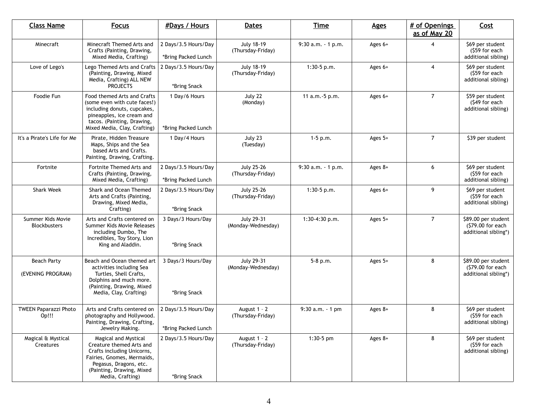| <b>Class Name</b>                        | <b>Focus</b>                                                                                                                                                                            | <b>#Days / Hours</b>                        | <b>Dates</b>                            | <b>Time</b>           | <b>Ages</b> | # of Openings<br>as of May 20 | Cost                                                             |
|------------------------------------------|-----------------------------------------------------------------------------------------------------------------------------------------------------------------------------------------|---------------------------------------------|-----------------------------------------|-----------------------|-------------|-------------------------------|------------------------------------------------------------------|
| Minecraft                                | Minecraft Themed Arts and<br>Crafts (Painting, Drawing,<br>Mixed Media, Crafting)                                                                                                       | 2 Days/3.5 Hours/Day<br>*Bring Packed Lunch | <b>July 18-19</b><br>(Thursday-Friday)  | $9:30$ a.m. $-1$ p.m. | Ages $6+$   | $\overline{4}$                | \$69 per student<br>(\$59 for each<br>additional sibling)        |
| Love of Lego's                           | Lego Themed Arts and Crafts<br>(Painting, Drawing, Mixed<br>Media, Crafting) ALL NEW<br><b>PROJECTS</b>                                                                                 | 2 Days/3.5 Hours/Day<br>*Bring Snack        | July 18-19<br>(Thursday-Friday)         | $1:30-5$ p.m.         | Ages 6+     | $\overline{4}$                | \$69 per student<br>(\$59 for each<br>additional sibling)        |
| Foodie Fun                               | Food themed Arts and Crafts<br>(some even with cute faces!)<br>including donuts, cupcakes,<br>pineapples, ice cream and<br>tacos. (Painting, Drawing,<br>Mixed Media, Clay, Crafting)   | 1 Day/6 Hours<br>*Bring Packed Lunch        | July 22<br>(Monday)                     | 11 a.m. -5 p.m.       | Ages 6+     | $\overline{7}$                | \$59 per student<br>(\$49 for each<br>additional sibling)        |
| It's a Pirate's Life for Me              | Pirate, Hidden Treasure<br>Maps, Ships and the Sea<br>based Arts and Crafts.<br>Painting, Drawing, Crafting.                                                                            | 1 Day/4 Hours                               | July 23<br>(Tuesday)                    | $1-5$ p.m.            | Ages 5+     | $\overline{7}$                | \$39 per student                                                 |
| Fortnite                                 | Fortnite Themed Arts and<br>Crafts (Painting, Drawing,<br>Mixed Media, Crafting)                                                                                                        | 2 Days/3.5 Hours/Day<br>*Bring Packed Lunch | <b>July 25-26</b><br>(Thursday-Friday)  | $9:30$ a.m. $-1$ p.m. | Ages 8+     | 6                             | \$69 per student<br>(\$59 for each<br>additional sibling)        |
| <b>Shark Week</b>                        | Shark and Ocean Themed<br>Arts and Crafts (Painting,<br>Drawing, Mixed Media,<br>Crafting)                                                                                              | 2 Days/3.5 Hours/Day<br>*Bring Snack        | <b>July 25-26</b><br>(Thursday-Friday)  | $1:30-5$ p.m.         | Ages 6+     | 9                             | \$69 per student<br>(\$59 for each<br>additional sibling)        |
| Summer Kids Movie<br><b>Blockbusters</b> | Arts and Crafts centered on<br>Summer Kids Movie Releases<br>including Dumbo, The<br>Incredibles, Toy Story, Lion<br>King and Aladdin.                                                  | 3 Days/3 Hours/Day<br>*Bring Snack          | <b>July 29-31</b><br>(Monday-Wednesday) | 1:30-4:30 p.m.        | Ages 5+     | $\overline{7}$                | \$89.00 per student<br>(\$79.00 for each<br>additional sibling*) |
| <b>Beach Party</b><br>(EVENING PROGRAM)  | Beach and Ocean themed art<br>activities including Sea<br>Turtles, Shell Crafts,<br>Dolphins and much more.<br>(Painting, Drawing, Mixed<br>Media, Clay, Crafting)                      | 3 Days/3 Hours/Day<br>*Bring Snack          | <b>July 29-31</b><br>(Monday-Wednesday) | $5-8$ p.m.            | Ages 5+     | 8                             | \$89.00 per student<br>(\$79.00 for each<br>additional sibling*) |
| TWEEN Paparazzi Photo<br>Op!!!           | Arts and Crafts centered on<br>photography and Hollywood.<br>Painting, Drawing, Crafting,<br>Jewelry Making.                                                                            | 2 Days/3.5 Hours/Day<br>*Bring Packed Lunch | August 1 - 2<br>(Thursday-Friday)       | $9:30$ a.m. $-1$ pm   | Ages 8+     | 8                             | \$69 per student<br>(\$59 for each<br>additional sibling)        |
| Magical & Mystical<br>Creatures          | Magical and Mystical<br>Creature themed Arts and<br>Crafts including Unicorns,<br>Fairies, Gnomes, Mermaids,<br>Pegasus, Dragons, etc.<br>(Painting, Drawing, Mixed<br>Media, Crafting) | 2 Days/3.5 Hours/Day<br>*Bring Snack        | August 1 - 2<br>(Thursday-Friday)       | 1:30-5 pm             | Ages 8+     | 8                             | \$69 per student<br>$(559$ for each<br>additional sibling)       |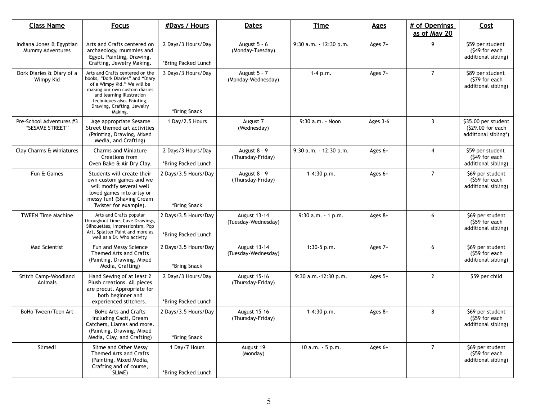| <b>Class Name</b>                            | <b>Focus</b>                                                                                                                                                                                                                            | #Days / Hours                               | <b>Dates</b>                        | <b>Time</b>            | <b>Ages</b> | # of Openings<br>as of May 20 | Cost                                                             |
|----------------------------------------------|-----------------------------------------------------------------------------------------------------------------------------------------------------------------------------------------------------------------------------------------|---------------------------------------------|-------------------------------------|------------------------|-------------|-------------------------------|------------------------------------------------------------------|
| Indiana Jones & Egyptian<br>Mummy Adventures | Arts and Crafts centered on<br>archaeology, mummies and<br>Egypt. Painting, Drawing,<br>Crafting, Jewelry Making.                                                                                                                       | 2 Days/3 Hours/Day<br>*Bring Packed Lunch   | August $5 - 6$<br>(Monday-Tuesday)  | 9:30 a.m. - 12:30 p.m. | Ages 7+     | 9                             | \$59 per student<br>(\$49 for each<br>additional sibling)        |
| Dork Diaries & Diary of a<br>Wimpy Kid       | Arts and Crafts centered on the<br>books, "Dork Diaries" and "Diary<br>of a Wimpy Kid." We will be<br>making our own custom diaries<br>and learning illustration<br>techniques also. Painting,<br>Drawing, Crafting, Jewelry<br>Making. | 3 Days/3 Hours/Day<br>*Bring Snack          | August 5 - 7<br>(Monday-Wednesday)  | $1 - 4 p.m.$           | Ages 7+     | $\overline{7}$                | \$89 per student<br>(\$79 for each<br>additional sibling)        |
| Pre-School Adventures #3<br>"SESAME STREET"  | Age appropriate Sesame<br>Street themed art activities<br>(Painting, Drawing, Mixed<br>Media, and Crafting)                                                                                                                             | 1 Day/2.5 Hours                             | August 7<br>(Wednesday)             | 9:30 a.m. - Noon       | Ages 3-6    | 3                             | \$35.00 per student<br>(\$29.00 for each<br>additional sibling*) |
| Clay Charms & Miniatures                     | <b>Charms and Miniature</b><br>Creations from<br>Oven Bake & Air Dry Clay.                                                                                                                                                              | 2 Days/3 Hours/Day<br>*Bring Packed Lunch   | August 8 - 9<br>(Thursday-Friday)   | 9:30 a.m. - 12:30 p.m. | Ages $6+$   | $\overline{4}$                | \$59 per student<br>(\$49 for each<br>additional sibling)        |
| Fun & Games                                  | Students will create their<br>own custom games and we<br>will modify several well<br>loved games into artsy or<br>messy fun! (Shaving Cream<br>Twister for example).                                                                    | 2 Days/3.5 Hours/Day<br>*Bring Snack        | August 8 - 9<br>(Thursday-Friday)   | 1-4:30 p.m.            | Ages 6+     | $\overline{7}$                | \$69 per student<br>(\$59 for each<br>additional sibling)        |
| <b>TWEEN Time Machine</b>                    | Arts and Crafts popular<br>throughout time. Cave Drawings,<br>Silhouettes, Impressionism, Pop<br>Art, Splatter Paint and more as<br>well as a Dr. Who activity.                                                                         | 2 Days/3.5 Hours/Day<br>*Bring Packed Lunch | August 13-14<br>(Tuesday-Wednesday) | $9:30$ a.m. $-1$ p.m.  | Ages $8+$   | 6                             | \$69 per student<br>(\$59 for each<br>additional sibling)        |
| Mad Scientist                                | Fun and Messy Science<br>Themed Arts and Crafts<br>(Painting, Drawing, Mixed<br>Media, Crafting)                                                                                                                                        | 2 Days/3.5 Hours/Day<br>*Bring Snack        | August 13-14<br>(Tuesday-Wednesday) | $1:30-5$ p.m.          | Ages 7+     | 6                             | \$69 per student<br>(\$59 for each<br>additional sibling)        |
| Stitch Camp-Woodland<br>Animals              | Hand Sewing of at least 2<br>Plush creations. All pieces<br>are precut. Appropriate for<br>both beginner and<br>experienced stitchers.                                                                                                  | 2 Days/3 Hours/Day<br>*Bring Packed Lunch   | August 15-16<br>(Thursday-Friday)   | 9:30 a.m. - 12:30 p.m. | Ages 5+     | $\overline{2}$                | \$59 per child                                                   |
| BoHo Tween/Teen Art                          | <b>BoHo Arts and Crafts</b><br>including Cacti, Dream<br>Catchers, Llamas and more.<br>(Painting, Drawing, Mixed<br>Media, Clay, and Crafting)                                                                                          | 2 Days/3.5 Hours/Day<br>*Bring Snack        | August 15-16<br>(Thursday-Friday)   | $1-4:30 p.m.$          | Ages 8+     | 8                             | \$69 per student<br>(\$59 for each<br>additional sibling)        |
| Slimed!                                      | Slime and Other Messy<br>Themed Arts and Crafts<br>(Painting, Mixed Media,<br>Crafting and of course,<br>SLIME)                                                                                                                         | 1 Day/7 Hours<br>*Bring Packed Lunch        | August 19<br>(Monday)               | 10 a.m. - 5 p.m.       | Ages $6+$   | $\overline{7}$                | \$69 per student<br>(\$59 for each<br>additional sibling)        |